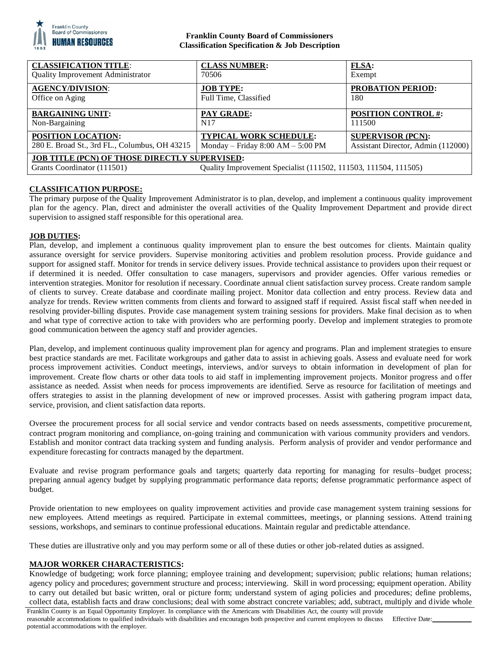

## **Franklin County Board of Commissioners Classification Specification & Job Description**

| <b>CLASSIFICATION TITLE:</b>                                                                                                                           | <b>CLASS NUMBER:</b>                | <b>FLSA:</b>                       |
|--------------------------------------------------------------------------------------------------------------------------------------------------------|-------------------------------------|------------------------------------|
| <b>Quality Improvement Administrator</b>                                                                                                               | 70506                               | Exempt                             |
| <b>AGENCY/DIVISION:</b>                                                                                                                                | <b>JOB TYPE:</b>                    | <b>PROBATION PERIOD:</b>           |
| Office on Aging                                                                                                                                        | Full Time, Classified               | 180                                |
| <b>BARGAINING UNIT:</b>                                                                                                                                | PAY GRADE:                          | <b>POSITION CONTROL #:</b>         |
| Non-Bargaining                                                                                                                                         | N <sub>17</sub>                     | 111500                             |
| <b>POSITION LOCATION:</b>                                                                                                                              | <b>TYPICAL WORK SCHEDULE:</b>       | <b>SUPERVISOR (PCN):</b>           |
| 280 E. Broad St., 3rd FL., Columbus, OH 43215                                                                                                          | Monday – Friday $8:00 AM - 5:00 PM$ | Assistant Director, Admin (112000) |
| <b>JOB TITLE (PCN) OF THOSE DIRECTLY SUPERVISED:</b><br>Quality Improvement Specialist (111502, 111503, 111504, 111505)<br>Grants Coordinator (111501) |                                     |                                    |

# **CLASSIFICATION PURPOSE:**

The primary purpose of the Quality Improvement Administrator is to plan, develop, and implement a continuous quality improvement plan for the agency. Plan, direct and administer the overall activities of the Quality Improvement Department and provide direct supervision to assigned staff responsible for this operational area.

## **JOB DUTIES:**

Plan, develop, and implement a continuous quality improvement plan to ensure the best outcomes for clients. Maintain quality assurance oversight for service providers. Supervise monitoring activities and problem resolution process. Provide guidance and support for assigned staff. Monitor for trends in service delivery issues. Provide technical assistance to providers upon their request or if determined it is needed. Offer consultation to case managers, supervisors and provider agencies. Offer various remedies or intervention strategies. Monitor for resolution if necessary. Coordinate annual client satisfaction survey process. Create random sample of clients to survey. Create database and coordinate mailing project. Monitor data collection and entry process. Review data and analyze for trends. Review written comments from clients and forward to assigned staff if required. Assist fiscal staff when needed in resolving provider-billing disputes. Provide case management system training sessions for providers. Make final decision as to when and what type of corrective action to take with providers who are performing poorly. Develop and implement strategies to promote good communication between the agency staff and provider agencies.

Plan, develop, and implement continuous quality improvement plan for agency and programs. Plan and implement strategies to ensure best practice standards are met. Facilitate workgroups and gather data to assist in achieving goals. Assess and evaluate need for work process improvement activities. Conduct meetings, interviews, and/or surveys to obtain information in development of plan for improvement. Create flow charts or other data tools to aid staff in implementing improvement projects. Monitor progress and offer assistance as needed. Assist when needs for process improvements are identified. Serve as resource for facilitation of meetings and offers strategies to assist in the planning development of new or improved processes. Assist with gathering program impact data, service, provision, and client satisfaction data reports.

Oversee the procurement process for all social service and vendor contracts based on needs assessments, competitive procurement, contract program monitoring and compliance, on-going training and communication with various community providers and vendors. Establish and monitor contract data tracking system and funding analysis. Perform analysis of provider and vendor performance and expenditure forecasting for contracts managed by the department.

Evaluate and revise program performance goals and targets; quarterly data reporting for managing for results–budget process; preparing annual agency budget by supplying programmatic performance data reports; defense programmatic performance aspect of budget.

Provide orientation to new employees on quality improvement activities and provide case management system training sessions for new employees. Attend meetings as required. Participate in external committees, meetings, or planning sessions. Attend training sessions, workshops, and seminars to continue professional educations. Maintain regular and predictable attendance.

These duties are illustrative only and you may perform some or all of these duties or other job-related duties as assigned.

## **MAJOR WORKER CHARACTERISTICS:**

Knowledge of budgeting; work force planning; employee training and development; supervision; public relations; human relations; agency policy and procedures; government structure and process; interviewing. Skill in word processing; equipment operation. Ability to carry out detailed but basic written, oral or picture form; understand system of aging policies and procedures; define problems, collect data, establish facts and draw conclusions; deal with some abstract concrete variables; add, subtract, multiply and divide whole